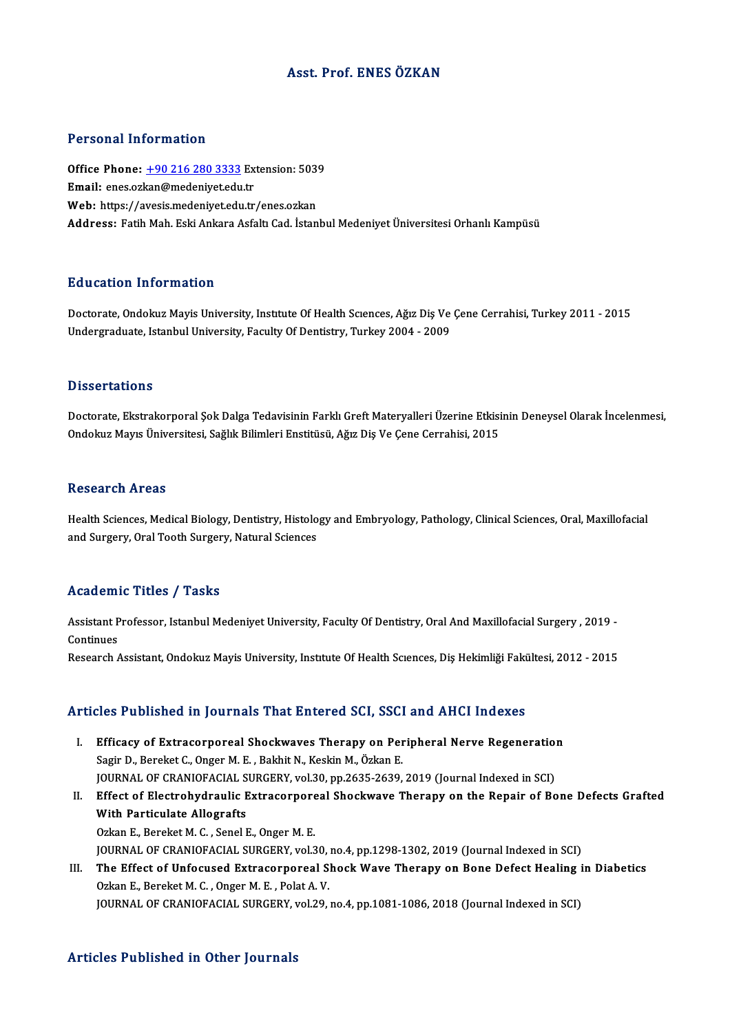# Asst. Prof. ENESÖZKAN

### Personal Information

Personal Information<br>Office Phone: <u>+90 216 280 3333</u> Extension: 5039<br>Email: enes exten@medenivet.edu.tr 1 STOOMAT INTOI INCLOIT<br>Office Phone: <u>+90 216 280 3333</u> Ex<br>Email: enes.oz[kan@medeniyet.edu](tel:+90 216 280 3333).tr Office Phone: <u>+90 216 280 3333</u> Extension: 503<br>Email: enes.ozkan@medeniyet.edu.tr<br>Web: https://avesis.medeniyet.edu.tr/enes.ozkan<br>Address. Eatih Meb. Eski Ankare Asfalt.Cod. İstan Email: enes.ozkan@medeniyet.edu.tr<br>Web: https://avesis.medeniyet.edu.tr/enes.ozkan<br>Address: Fatih Mah. Eski Ankara Asfaltı Cad. İstanbul Medeniyet Üniversitesi Orhanlı Kampüsü

### Education Information

Education Information<br>Doctorate, Ondokuz Mayis University, Institute Of Health Sciences, Ağız Diş Ve Çene Cerrahisi, Turkey 2011 - 2015<br>Undergraduate Istanbul University, Faculty Of Dentistry, Turkey 2004 - 2009 Luucution Tittot Inderon<br>Doctorate, Ondokuz Mayis University, Institute Of Health Sciences, Ağız Diş Ve<br>Undergraduate, Istanbul University, Faculty Of Dentistry, Turkey 2004 - 2009 Undergraduate, Istanbul University, Faculty Of Dentistry, Turkey 2004 - 2009<br>Dissertations

Doctorate, Ekstrakorporal Şok Dalga Tedavisinin Farklı Greft Materyalleri Üzerine Etkisinin Deneysel Olarak İncelenmesi, Ondokuz Mayıs Üniversitesi, Sağlık Bilimleri Enstitüsü, Ağız Diş Ve Çene Cerrahisi, 2015

### **Research Areas**

Health Sciences, Medical Biology, Dentistry, Histology and Embryology, Pathology, Clinical Sciences, Oral, Maxillofacial and Surgery, Oral Tooth Surgery, Natural Sciences

### Academic Titles / Tasks

Academic Titles / Tasks<br>Assistant Professor, Istanbul Medeniyet University, Faculty Of Dentistry, Oral And Maxillofacial Surgery , 2019 -<br>Continues Assistant P<br>Continues<br>Pessarsh Assistant Professor, Istanbul Medeniyet University, Faculty Of Dentistry, Oral And Maxillofacial Surgery , 2019 -<br>Continues<br>Research Assistant, Ondokuz Mayis University, Institute Of Health Scıences, Diş Hekimliği Fakültes

Research Assistant, Ondokuz Mayis University, Institute Of Health Sciences, Diş Hekimliği Fakültesi, 2012 - 2015<br>Articles Published in Journals That Entered SCI, SSCI and AHCI Indexes

- rticles Published in Journals That Entered SCI, SSCI and AHCI Indexes<br>I. Efficacy of Extracorporeal Shockwaves Therapy on Peripheral Nerve Regeneration<br>Sagir D. Barakat C. Ongar M. E. Bakhit N. Koskin M. Özkan E. Sagir D., Bereket C., Onger M. E., Bakhit N., Keskin M., Özkan E.<br>Sagir D., Bereket C., Onger M. E., Bakhit N., Keskin M., Özkan E.<br>JOUPMAL OF CRANIQEACIAL SURCERY .vel 30 pp 3625-3629. Efficacy of Extracorporeal Shockwaves Therapy on Peripheral Nerve Regeneration<br>Sagir D., Bereket C., Onger M. E. , Bakhit N., Keskin M., Özkan E.<br>JOURNAL OF CRANIOFACIAL SURGERY, vol.30, pp.2635-2639, 2019 (Journal Indexed Sagir D., Bereket C., Onger M. E. , Bakhit N., Keskin M., Özkan E.<br>JOURNAL OF CRANIOFACIAL SURGERY, vol.30, pp.2635-2639, 2019 (Journal Indexed in SCI)<br>II. Effect of Electrohydraulic Extracorporeal Shockwave Therapy on the
- JOURNAL OF CRANIOFACIAL S<br>Effect of Electrohydraulic E<br>With Particulate Allografts<br>O<sup>glon E.</sup> Bereket M.C. Senel I Effect of Electrohydraulic Extracorpore<br>With Particulate Allografts<br>Ozkan E., Bereket M. C. , Senel E., Onger M. E.<br>JOUPNAL OF CRANIOFACIAL SURCERY vol 3 With Particulate Allografts<br>Ozkan E., Bereket M. C. , Senel E., Onger M. E.<br>JOURNAL OF CRANIOFACIAL SURGERY, vol.30, no.4, pp.1298-1302, 2019 (Journal Indexed in SCI)<br>The Effect of Unfoqueed Extresernancel Shock Waye There Ozkan E., Bereket M. C. , Senel E., Onger M. E.<br>JOURNAL OF CRANIOFACIAL SURGERY, vol.30, no.4, pp.1298-1302, 2019 (Journal Indexed in SCI)<br>III. The Effect of Unfocused Extracorporeal Shock Wave Therapy on Bone Defect Heali
- **JOURNAL OF CRANIOFACIAL SURGERY, vol.30,<br>The Effect of Unfocused Extracorporeal S.<br>Ozkan E., Bereket M. C. , Onger M. E. , Polat A. V.**<br>JOURNAL OF CRANIOFACIAL SURCERY vol.29 The Effect of Unfocused Extracorporeal Shock Wave Therapy on Bone Defect Healing i<br>Ozkan E., Bereket M. C. , Onger M. E. , Polat A. V.<br>JOURNAL OF CRANIOFACIAL SURGERY, vol.29, no.4, pp.1081-1086, 2018 (Journal Indexed in S JOURNAL OF CRANIOFACIAL SURGERY, vol.29, no.4, pp.1081-1086, 2018 (Journal Indexed in SCI)<br>Articles Published in Other Journals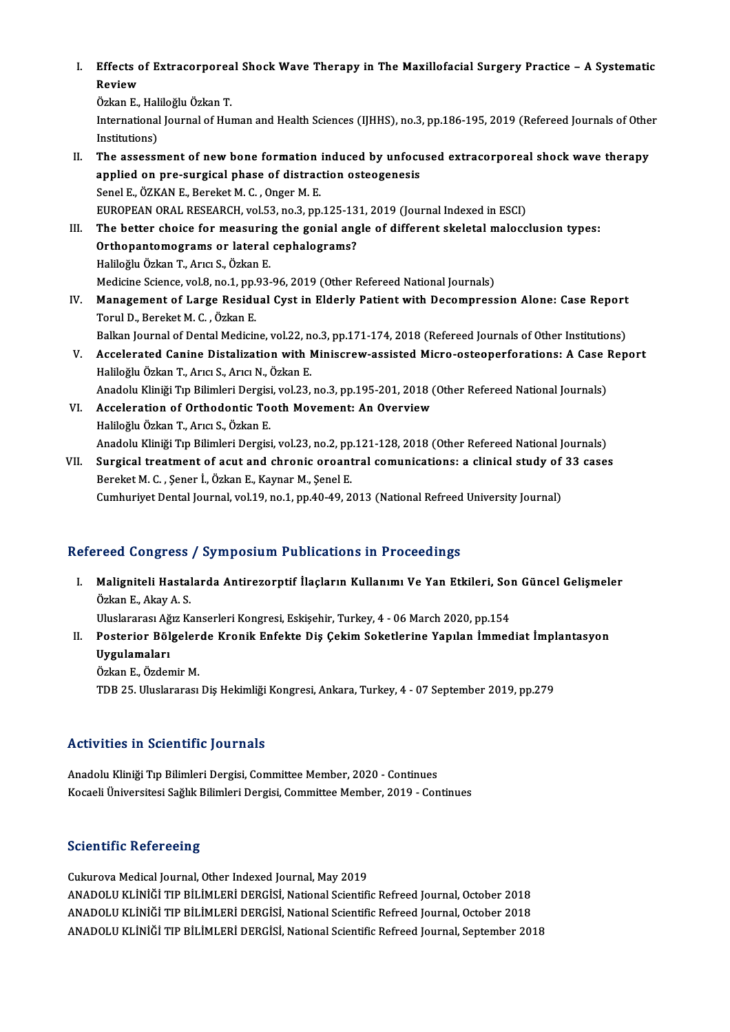I. Effects of Extracorporeal Shock Wave Therapy in The Maxillofacial Surgery Practice – A Systematic<br>Review Effects<br>Review<br>Örken E Effects of Extracorporea<br>Review<br>Özkan E., Haliloğlu Özkan T.<br>International Journal of Hur

Review<br>Özkan E., Haliloğlu Özkan T.<br>International Journal of Human and Health Sciences (IJHHS), no.3, pp.186-195, 2019 (Refereed Journals of Other Özkan E., Hal<br>International<br>Institutions)<br>The assesse International Journal of Human and Health Sciences (IJHHS), no.3, pp.186-195, 2019 (Refereed Journals of Othe<br>Institutions)<br>II. The assessment of new bone formation induced by unfocused extracorporeal shock wave therapy<br>an

- Institutions)<br>The assessment of new bone formation induced by unfocu<br>applied on pre-surgical phase of distraction osteogenesis<br>Sapel E. ÖZKAN E. Bareket M.C., Onger M. E. applied on pre-surgical phase of distraction osteogenesis<br>Senel E., ÖZKAN E., Bereket M. C., Onger M. E. EUROPEAN ORAL RESEARCH, vol.53, no.3, pp.125-131, 2019 (Journal Indexed in ESCI)
- III. The better choice for measuring the gonial angle of different skeletal malocclusion types: EUROPEAN ORAL RESEARCH, vol.53, no.3, pp.125-13<br>The better choice for measuring the gonial ang<br>Orthopantomograms or lateral cephalograms?<br>Haliloğlu Özkan T. Arısı S. Özkan E The better choice for measurin<br>Orthopantomograms or lateral<br>Haliloğlu Özkan T., Arıcı S., Özkan E.<br>Medisine Ssiense val 9 no 1 nn 93 Haliloğlu Özkan T., Arıcı S., Özkan E.<br>Medicine Science, vol.8, no.1, pp.93-96, 2019 (Other Refereed National Journals) Haliloğlu Özkan T., Arıcı S., Özkan E.<br>Medicine Science, vol.8, no.1, pp.93-96, 2019 (Other Refereed National Journals)<br>IV. Management of Large Residual Cyst in Elderly Patient with Decompression Alone: Case Report<br>Tomyl D
- TorulD.,BereketM.C. ,ÖzkanE. Management of Large Residual Cyst in Elderly Patient with Decompression Alone: Case Report<br>Torul D., Bereket M. C. , Özkan E.<br>Balkan Journal of Dental Medicine, vol.22, no.3, pp.171-174, 2018 (Refereed Journals of Other In Balkan Journal of Dental Medicine, vol.22, no.3, pp.171-174, 2018 (Refereed Journals of Other Institutions)
- V. Accelerated Canine Distalization with Miniscrew-assisted Micro-osteoperforations: A Case Report Anadolu Kliniği Tıp Bilimleri Dergisi, vol.23, no.3, pp.195-201, 2018 (Other Refereed National Journals) Haliloğlu Özkan T., Arıcı S., Arıcı N., Özkan E.<br>Anadolu Kliniği Tıp Bilimleri Dergisi, vol.23, no.3, pp.195-201, 2018 (<br>VI. Acceleration of Orthodontic Tooth Movement: An Overview<br>Haliloğlu Özkan T. Arısı S. Özkan E.
- Anadolu Kliniği Tıp Bilimleri Dergisi<br>Acceleration of Orthodontic To<br>Haliloğlu Özkan T., Arıcı S., Özkan E.<br>Anadolu Kliniği Tıp Bilimleri Dergisi Haliloğlu Özkan T., Arıcı S., Özkan E.<br>Anadolu Kliniği Tıp Bilimleri Dergisi, vol.23, no.2, pp.121-128, 2018 (Other Refereed National Journals) Haliloğlu Özkan T., Arıcı S., Özkan E.<br>Anadolu Kliniği Tıp Bilimleri Dergisi, vol.23, no.2, pp.121-128, 2018 (Other Refereed National Journals)<br>VII. Surgical treatment of acut and chronic oroantral comunications: a clinica
- Anadolu Kliniği Tıp Bilimleri Dergisi, vol.23, no.2, pp<br>Surgical treatment of acut and chronic oroant<br>Bereket M. C. , Şener İ., Özkan E., Kaynar M., Şenel E.<br>Cumburiyat Dontal Journal vol.19, no.1, nn.40,49,2 Surgical treatment of acut and chronic oroantral comunications: a clinical study of<br>Bereket M. C. , Şener İ., Özkan E., Kaynar M., Şenel E.<br>Cumhuriyet Dental Journal, vol.19, no.1, pp.40-49, 2013 (National Refreed Universi Cumhuriyet Dental Journal, vol.19, no.1, pp.40-49, 2013 (National Refreed University Journal)<br>Refereed Congress / Symposium Publications in Proceedings

efereed Congress / Symposium Publications in Proceedings<br>I. Maligniteli Hastalarda Antirezorptif İlaçların Kullanımı Ve Yan Etkileri, Son Güncel Gelişmeler<br>Örkan E. Akay A. S Maligniteli Hastal<br>Özkan E., Akay A. S.<br>Uluslararesı Ağız K. Maligniteli Hastalarda Antirezorptif İlaçların Kullanımı Ve Yan Etkileri, Sor<br>Özkan E., Akay A. S.<br>Uluslararası Ağız Kanserleri Kongresi, Eskişehir, Turkey, 4 - 06 March 2020, pp.154<br>Pesteriar Pölgelerde Krepik Enfekte Dis Özkan E., Akay A. S.<br>Uluslararası Ağız Kanserleri Kongresi, Eskişehir, Turkey, 4 - 06 March 2020, pp.154<br>II. Posterior Bölgelerde Kronik Enfekte Diş Çekim Soketlerine Yapılan İmmediat İmplantasyon<br>Uvaylamaları

Uluslararası Ağ<br>Posterior Böl<br>Uygulamaları<br>Örken E. Örder Posterior Bölgeler<br>Uygulamaları<br>Özkan E., Özdemir M.<br>TDP 25 Huskapara Uygulamaları<br>Özkan E., Özdemir M.<br>TDB 25. Uluslararası Diş Hekimliği Kongresi, Ankara, Turkey, 4 - 07 September 2019, pp.279

# Activities in Scientific Journals

Anadolu Kliniği Tıp Bilimleri Dergisi, Committee Member, 2020 - Continues Kocaeli Üniversitesi Sağlık Bilimleri Dergisi, Committee Member, 2019 - Continues

## **Scientific Refereeing**

Cukurova Medical Journal, Other Indexed Journal, May 2019 ANADOLUKLİNİĞİTIPBİLİMLERİDERGİSİ,NationalScientificRefreed Journal,October 2018 ANADOLUKLİNİĞİTIPBİLİMLERİDERGİSİ,NationalScientificRefreed Journal,October 2018 ANADOLU KLİNİĞİ TIP BİLİMLERİ DERGİSİ, National Scientific Refreed Journal, September 2018